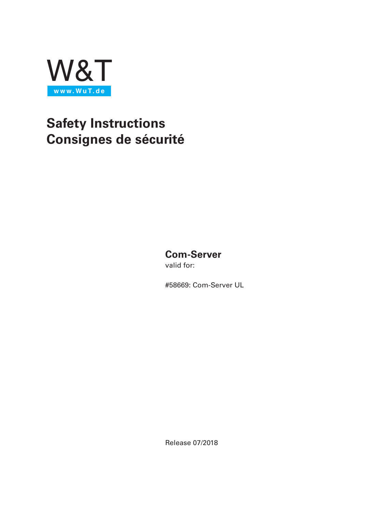

# **Safety Instructions Consignes de sécurité**

# **Com-Server**

valid for:

#58669: Com-Server UL

Release 07/2018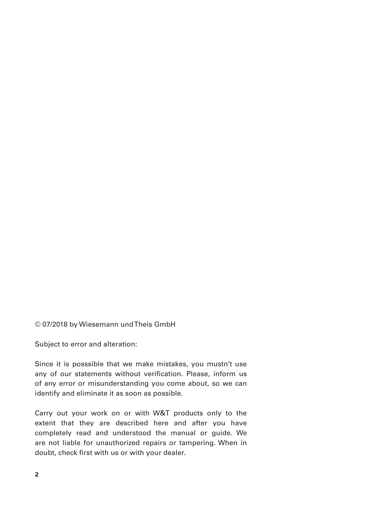#### © 07/2018 by Wiesemann und Theis GmbH

Subject to error and alteration:

Since it is posssible that we make mistakes, you mustn't use any of our statements without verification. Please, inform us of any error or misunderstanding you come about, so we can identify and eliminate it as soon as possible.

Carry out your work on or with W&T products only to the extent that they are described here and after you have completely read and understood the manual or guide. We are not liable for unauthorized repairs or tampering. When in doubt, check first with us or with your dealer.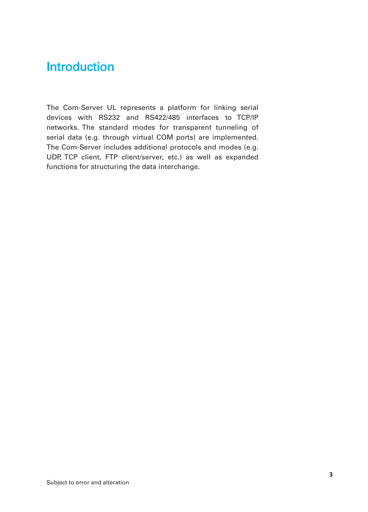# **Introduction**

The Com-Server UL represents a platform for linking serial devices with RS232 and RS422/485 interfaces to TCP/IP networks. The standard modes for transparent tunneling of serial data (e.g. through virtual COM ports) are implemented. The Com-Server includes additional protocols and modes (e.g. UDP, TCP client, FTP client/server, etc.) as well as expanded functions for structuring the data interchange.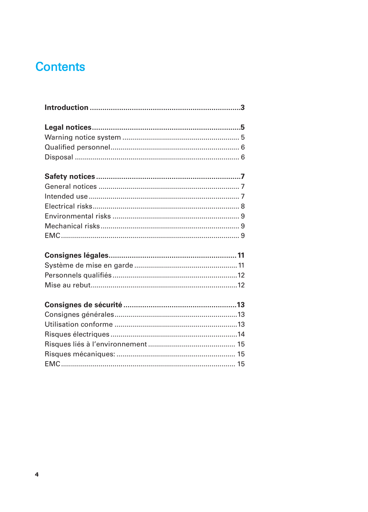# **Contents**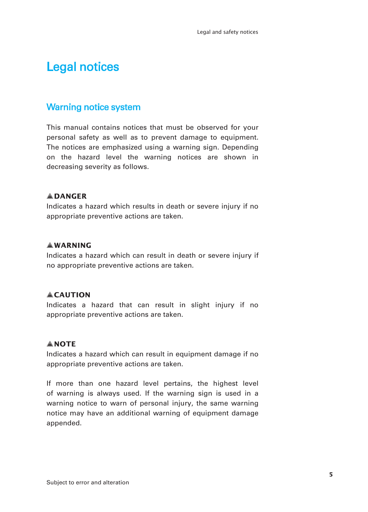# Legal notices

## Warning notice system

This manual contains notices that must be observed for your personal safety as well as to prevent damage to equipment. The notices are emphasized using a warning sign. Depending on the hazard level the warning notices are shown in decreasing severity as follows.

## 1**DANGER**

Indicates a hazard which results in death or severe injury if no appropriate preventive actions are taken.

## 1**WARNING**

Indicates a hazard which can result in death or severe injury if no appropriate preventive actions are taken.

### 1**CAUTION**

Indicates a hazard that can result in slight injury if no appropriate preventive actions are taken.

## 1**NOTE**

Indicates a hazard which can result in equipment damage if no appropriate preventive actions are taken.

If more than one hazard level pertains, the highest level of warning is always used. If the warning sign is used in a warning notice to warn of personal injury, the same warning notice may have an additional warning of equipment damage appended.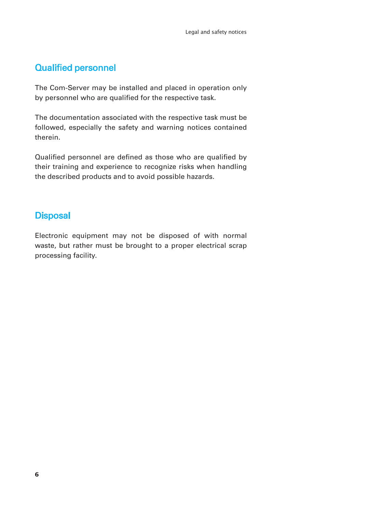# Qualified personnel

The Com-Server may be installed and placed in operation only by personnel who are qualified for the respective task.

The documentation associated with the respective task must be followed, especially the safety and warning notices contained therein.

Qualified personnel are defined as those who are qualified by their training and experience to recognize risks when handling the described products and to avoid possible hazards.

# **Disposal**

Electronic equipment may not be disposed of with normal waste, but rather must be brought to a proper electrical scrap processing facility.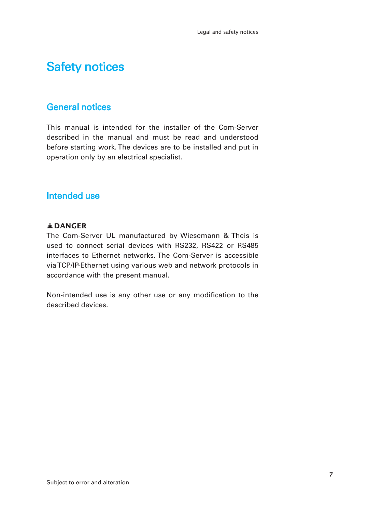# Safety notices

# General notices

This manual is intended for the installer of the Com-Server described in the manual and must be read and understood before starting work. The devices are to be installed and put in operation only by an electrical specialist.

## Intended use

## 1**DANGER**

The Com-Server UL manufactured by Wiesemann & Theis is used to connect serial devices with RS232, RS422 or RS485 interfaces to Ethernet networks. The Com-Server is accessible via TCP/IP-Ethernet using various web and network protocols in accordance with the present manual.

Non-intended use is any other use or any modification to the described devices.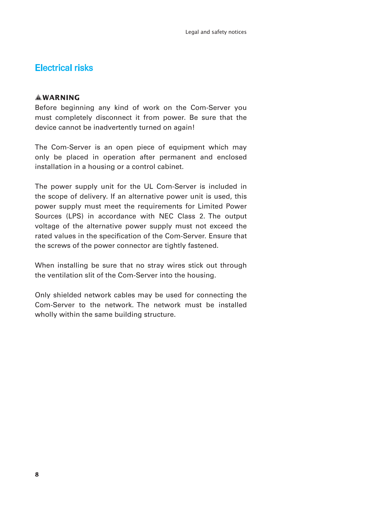## Electrical risks

## 1**WARNING**

Before beginning any kind of work on the Com-Server you must completely disconnect it from power. Be sure that the device cannot be inadvertently turned on again!

The Com-Server is an open piece of equipment which may only be placed in operation after permanent and enclosed installation in a housing or a control cabinet.

The power supply unit for the UL Com-Server is included in the scope of delivery. If an alternative power unit is used, this power supply must meet the requirements for Limited Power Sources (LPS) in accordance with NEC Class 2. The output voltage of the alternative power supply must not exceed the rated values in the specification of the Com-Server. Ensure that the screws of the power connector are tightly fastened.

When installing be sure that no stray wires stick out through the ventilation slit of the Com-Server into the housing.

Only shielded network cables may be used for connecting the Com-Server to the network. The network must be installed wholly within the same building structure.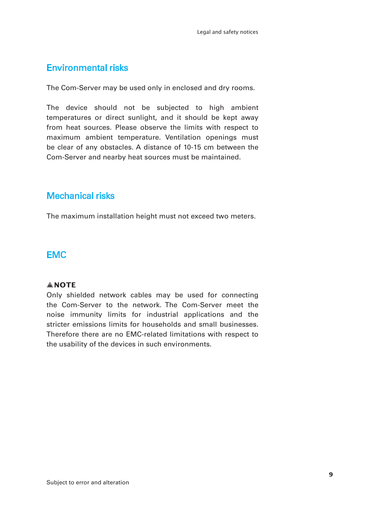# Environmental risks

The Com-Server may be used only in enclosed and dry rooms.

The device should not be subjected to high ambient temperatures or direct sunlight, and it should be kept away from heat sources. Please observe the limits with respect to maximum ambient temperature. Ventilation openings must be clear of any obstacles. A distance of 10-15 cm between the Com-Server and nearby heat sources must be maintained.

# Mechanical risks

The maximum installation height must not exceed two meters.

## EMC

## 1**NOTE**

Only shielded network cables may be used for connecting the Com-Server to the network. The Com-Server meet the noise immunity limits for industrial applications and the stricter emissions limits for households and small businesses. Therefore there are no EMC-related limitations with respect to the usability of the devices in such environments.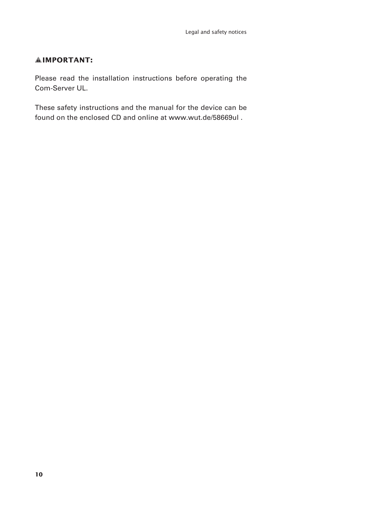## 1**IMPORTANT:**

Please read the installation instructions before operating the Com-Server UL.

These safety instructions and the manual for the device can be found on the enclosed CD and online at www.wut.de/58669ul .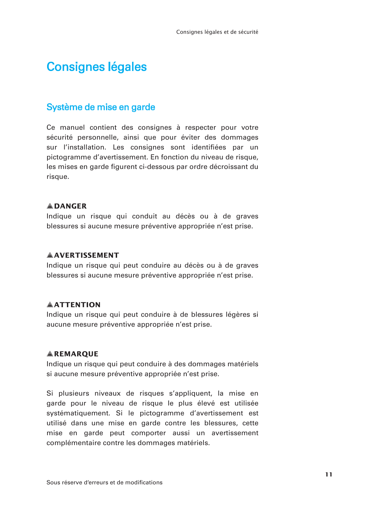# Consignes légales

## Système de mise en garde

Ce manuel contient des consignes à respecter pour votre sécurité personnelle, ainsi que pour éviter des dommages sur l'installation. Les consignes sont identifiées par un pictogramme d'avertissement. En fonction du niveau de risque, les mises en garde figurent ci-dessous par ordre décroissant du risque.

#### 1**DANGER**

Indique un risque qui conduit au décès ou à de graves blessures si aucune mesure préventive appropriée n'est prise.

## $A$ **AVERTISSEMENT**

Indique un risque qui peut conduire au décès ou à de graves blessures si aucune mesure préventive appropriée n'est prise.

## 1**ATTENTION**

Indique un risque qui peut conduire à de blessures légères si aucune mesure préventive appropriée n'est prise.

### 1**REMARQUE**

Indique un risque qui peut conduire à des dommages matériels si aucune mesure préventive appropriée n'est prise.

Si plusieurs niveaux de risques s'appliquent, la mise en garde pour le niveau de risque le plus élevé est utilisée systématiquement. Si le pictogramme d'avertissement est utilisé dans une mise en garde contre les blessures, cette mise en garde peut comporter aussi un avertissement complémentaire contre les dommages matériels.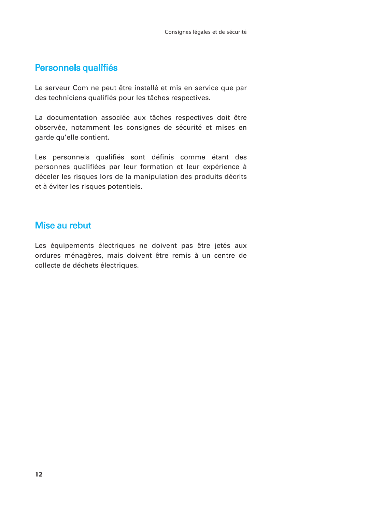# Personnels qualifiés

Le serveur Com ne peut être installé et mis en service que par des techniciens qualifiés pour les tâches respectives.

La documentation associée aux tâches respectives doit être observée, notamment les consignes de sécurité et mises en garde qu'elle contient.

Les personnels qualifiés sont définis comme étant des personnes qualifiées par leur formation et leur expérience à déceler les risques lors de la manipulation des produits décrits et à éviter les risques potentiels.

## Mise au rebut

Les équipements électriques ne doivent pas être jetés aux ordures ménagères, mais doivent être remis à un centre de collecte de déchets électriques.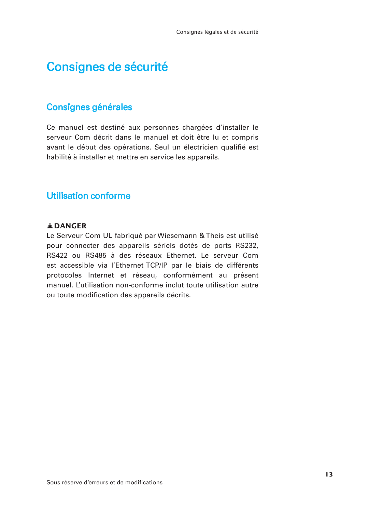# Consignes de sécurité

# Consignes générales

Ce manuel est destiné aux personnes chargées d'installer le serveur Com décrit dans le manuel et doit être lu et compris avant le début des opérations. Seul un électricien qualifié est habilité à installer et mettre en service les appareils.

# Utilisation conforme

## 1**DANGER**

Le Serveur Com UL fabriqué par Wiesemann & Theis est utilisé pour connecter des appareils sériels dotés de ports RS232, RS422 ou RS485 à des réseaux Ethernet. Le serveur Com est accessible via l'Ethernet TCP/IP par le biais de différents protocoles Internet et réseau, conformément au présent manuel. L'utilisation non-conforme inclut toute utilisation autre ou toute modification des appareils décrits.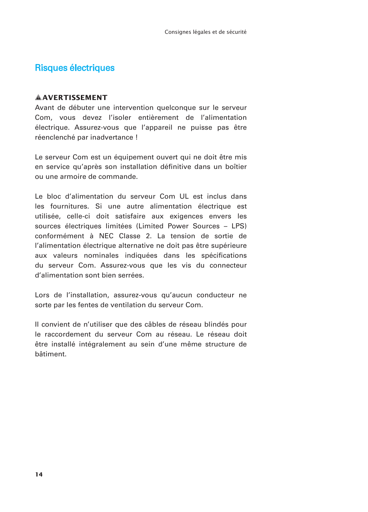## Risques électriques

### 1**AVERTISSEMENT**

Avant de débuter une intervention quelconque sur le serveur Com, vous devez l'isoler entièrement de l'alimentation électrique. Assurez-vous que l'appareil ne puisse pas être réenclenché par inadvertance !

Le serveur Com est un équipement ouvert qui ne doit être mis en service qu'après son installation définitive dans un boîtier ou une armoire de commande.

Le bloc d'alimentation du serveur Com UL est inclus dans les fournitures. Si une autre alimentation électrique est utilisée, celle-ci doit satisfaire aux exigences envers les sources électriques limitées (Limited Power Sources – LPS) conformément à NEC Classe 2. La tension de sortie de l'alimentation électrique alternative ne doit pas être supérieure aux valeurs nominales indiquées dans les spécifications du serveur Com. Assurez-vous que les vis du connecteur d'alimentation sont bien serrées.

Lors de l'installation, assurez-vous qu'aucun conducteur ne sorte par les fentes de ventilation du serveur Com.

Il convient de n'utiliser que des câbles de réseau blindés pour le raccordement du serveur Com au réseau. Le réseau doit être installé intégralement au sein d'une même structure de bâtiment.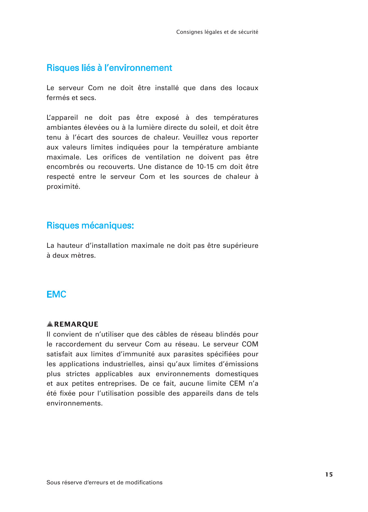## Risques liés à l'environnement

Le serveur Com ne doit être installé que dans des locaux fermés et secs.

L'appareil ne doit pas être exposé à des températures ambiantes élevées ou à la lumière directe du soleil, et doit être tenu à l'écart des sources de chaleur. Veuillez vous reporter aux valeurs limites indiquées pour la température ambiante maximale. Les orifices de ventilation ne doivent pas être encombrés ou recouverts. Une distance de 10-15 cm doit être respecté entre le serveur Com et les sources de chaleur à proximité.

## Risques mécaniques:

La hauteur d'installation maximale ne doit pas être supérieure à deux mètres.

## EMC

#### 1**REMARQUE**

Il convient de n'utiliser que des câbles de réseau blindés pour le raccordement du serveur Com au réseau. Le serveur COM satisfait aux limites d'immunité aux parasites spécifiées pour les applications industrielles, ainsi qu'aux limites d'émissions plus strictes applicables aux environnements domestiques et aux petites entreprises. De ce fait, aucune limite CEM n'a été fixée pour l'utilisation possible des appareils dans de tels environnements.